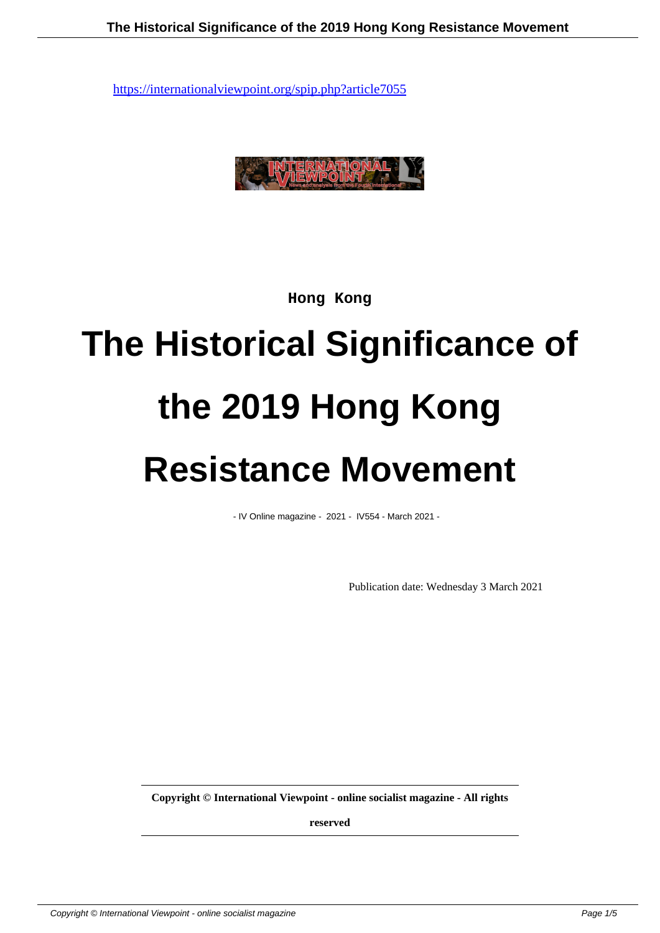

**Hong Kong**

## **The Historical Significance of the 2019 Hong Kong Resistance Movement**

- IV Online magazine - 2021 - IV554 - March 2021 -

Publication date: Wednesday 3 March 2021

**Copyright © International Viewpoint - online socialist magazine - All rights**

**reserved**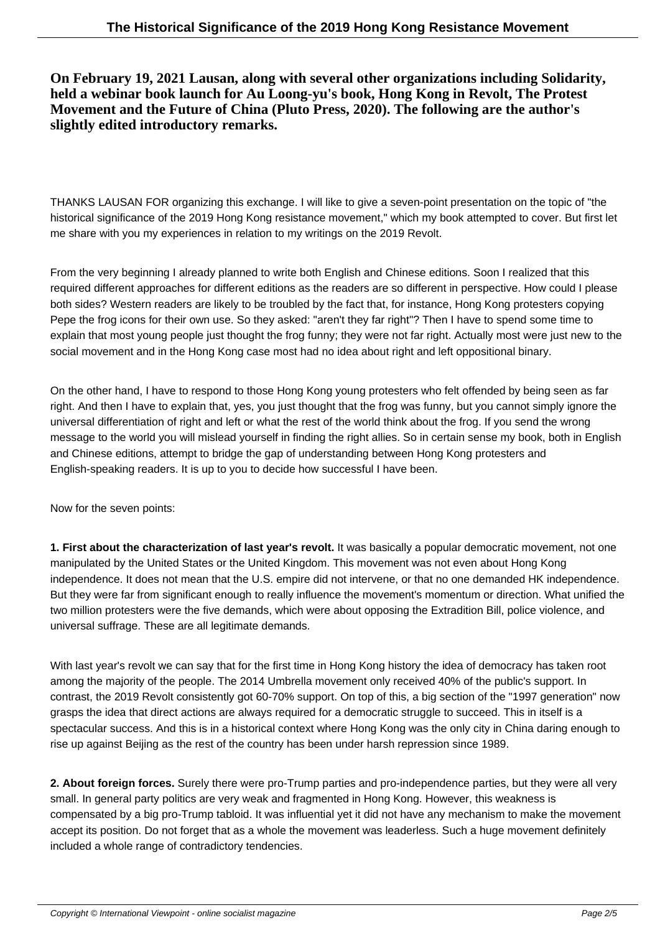**On February 19, 2021 Lausan, along with several other organizations including Solidarity, held a webinar book launch for Au Loong-yu's book, Hong Kong in Revolt, The Protest Movement and the Future of China (Pluto Press, 2020). The following are the author's slightly edited introductory remarks.**

THANKS LAUSAN FOR organizing this exchange. I will like to give a seven-point presentation on the topic of "the historical significance of the 2019 Hong Kong resistance movement," which my book attempted to cover. But first let me share with you my experiences in relation to my writings on the 2019 Revolt.

From the very beginning I already planned to write both English and Chinese editions. Soon I realized that this required different approaches for different editions as the readers are so different in perspective. How could I please both sides? Western readers are likely to be troubled by the fact that, for instance, Hong Kong protesters copying Pepe the frog icons for their own use. So they asked: "aren't they far right"? Then I have to spend some time to explain that most young people just thought the frog funny; they were not far right. Actually most were just new to the social movement and in the Hong Kong case most had no idea about right and left oppositional binary.

On the other hand, I have to respond to those Hong Kong young protesters who felt offended by being seen as far right. And then I have to explain that, yes, you just thought that the frog was funny, but you cannot simply ignore the universal differentiation of right and left or what the rest of the world think about the frog. If you send the wrong message to the world you will mislead yourself in finding the right allies. So in certain sense my book, both in English and Chinese editions, attempt to bridge the gap of understanding between Hong Kong protesters and English-speaking readers. It is up to you to decide how successful I have been.

Now for the seven points:

**1. First about the characterization of last year's revolt.** It was basically a popular democratic movement, not one manipulated by the United States or the United Kingdom. This movement was not even about Hong Kong independence. It does not mean that the U.S. empire did not intervene, or that no one demanded HK independence. But they were far from significant enough to really influence the movement's momentum or direction. What unified the two million protesters were the five demands, which were about opposing the Extradition Bill, police violence, and universal suffrage. These are all legitimate demands.

With last year's revolt we can say that for the first time in Hong Kong history the idea of democracy has taken root among the majority of the people. The 2014 Umbrella movement only received 40% of the public's support. In contrast, the 2019 Revolt consistently got 60-70% support. On top of this, a big section of the "1997 generation" now grasps the idea that direct actions are always required for a democratic struggle to succeed. This in itself is a spectacular success. And this is in a historical context where Hong Kong was the only city in China daring enough to rise up against Beijing as the rest of the country has been under harsh repression since 1989.

**2. About foreign forces.** Surely there were pro-Trump parties and pro-independence parties, but they were all very small. In general party politics are very weak and fragmented in Hong Kong. However, this weakness is compensated by a big pro-Trump tabloid. It was influential yet it did not have any mechanism to make the movement accept its position. Do not forget that as a whole the movement was leaderless. Such a huge movement definitely included a whole range of contradictory tendencies.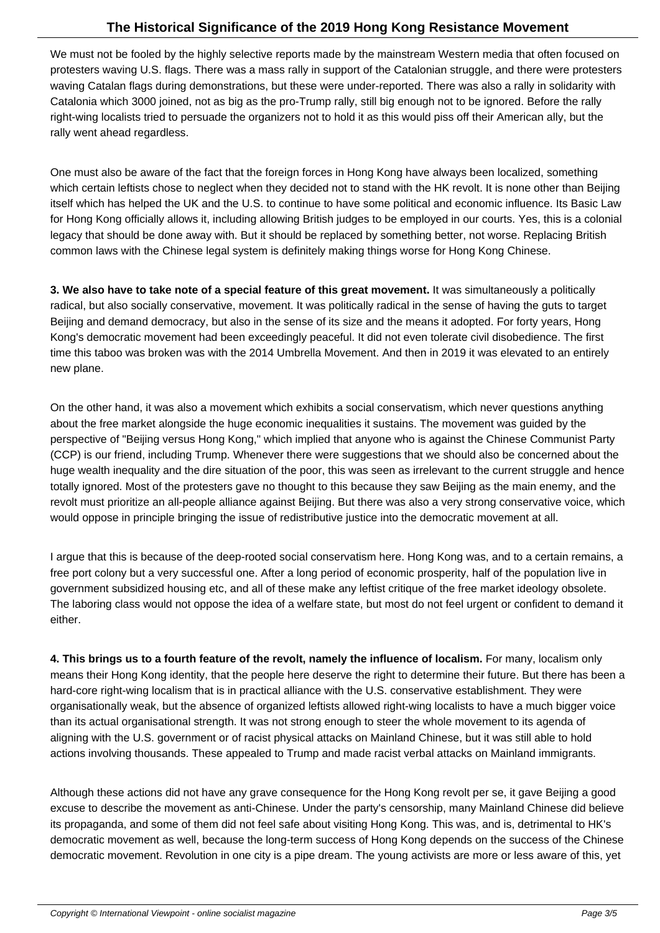We must not be fooled by the highly selective reports made by the mainstream Western media that often focused on protesters waving U.S. flags. There was a mass rally in support of the Catalonian struggle, and there were protesters waving Catalan flags during demonstrations, but these were under-reported. There was also a rally in solidarity with Catalonia which 3000 joined, not as big as the pro-Trump rally, still big enough not to be ignored. Before the rally right-wing localists tried to persuade the organizers not to hold it as this would piss off their American ally, but the rally went ahead regardless.

One must also be aware of the fact that the foreign forces in Hong Kong have always been localized, something which certain leftists chose to neglect when they decided not to stand with the HK revolt. It is none other than Beijing itself which has helped the UK and the U.S. to continue to have some political and economic influence. Its Basic Law for Hong Kong officially allows it, including allowing British judges to be employed in our courts. Yes, this is a colonial legacy that should be done away with. But it should be replaced by something better, not worse. Replacing British common laws with the Chinese legal system is definitely making things worse for Hong Kong Chinese.

**3. We also have to take note of a special feature of this great movement.** It was simultaneously a politically radical, but also socially conservative, movement. It was politically radical in the sense of having the guts to target Beijing and demand democracy, but also in the sense of its size and the means it adopted. For forty years, Hong Kong's democratic movement had been exceedingly peaceful. It did not even tolerate civil disobedience. The first time this taboo was broken was with the 2014 Umbrella Movement. And then in 2019 it was elevated to an entirely new plane.

On the other hand, it was also a movement which exhibits a social conservatism, which never questions anything about the free market alongside the huge economic inequalities it sustains. The movement was guided by the perspective of "Beijing versus Hong Kong," which implied that anyone who is against the Chinese Communist Party (CCP) is our friend, including Trump. Whenever there were suggestions that we should also be concerned about the huge wealth inequality and the dire situation of the poor, this was seen as irrelevant to the current struggle and hence totally ignored. Most of the protesters gave no thought to this because they saw Beijing as the main enemy, and the revolt must prioritize an all-people alliance against Beijing. But there was also a very strong conservative voice, which would oppose in principle bringing the issue of redistributive justice into the democratic movement at all.

I argue that this is because of the deep-rooted social conservatism here. Hong Kong was, and to a certain remains, a free port colony but a very successful one. After a long period of economic prosperity, half of the population live in government subsidized housing etc, and all of these make any leftist critique of the free market ideology obsolete. The laboring class would not oppose the idea of a welfare state, but most do not feel urgent or confident to demand it either.

**4. This brings us to a fourth feature of the revolt, namely the influence of localism.** For many, localism only means their Hong Kong identity, that the people here deserve the right to determine their future. But there has been a hard-core right-wing localism that is in practical alliance with the U.S. conservative establishment. They were organisationally weak, but the absence of organized leftists allowed right-wing localists to have a much bigger voice than its actual organisational strength. It was not strong enough to steer the whole movement to its agenda of aligning with the U.S. government or of racist physical attacks on Mainland Chinese, but it was still able to hold actions involving thousands. These appealed to Trump and made racist verbal attacks on Mainland immigrants.

Although these actions did not have any grave consequence for the Hong Kong revolt per se, it gave Beijing a good excuse to describe the movement as anti-Chinese. Under the party's censorship, many Mainland Chinese did believe its propaganda, and some of them did not feel safe about visiting Hong Kong. This was, and is, detrimental to HK's democratic movement as well, because the long-term success of Hong Kong depends on the success of the Chinese democratic movement. Revolution in one city is a pipe dream. The young activists are more or less aware of this, yet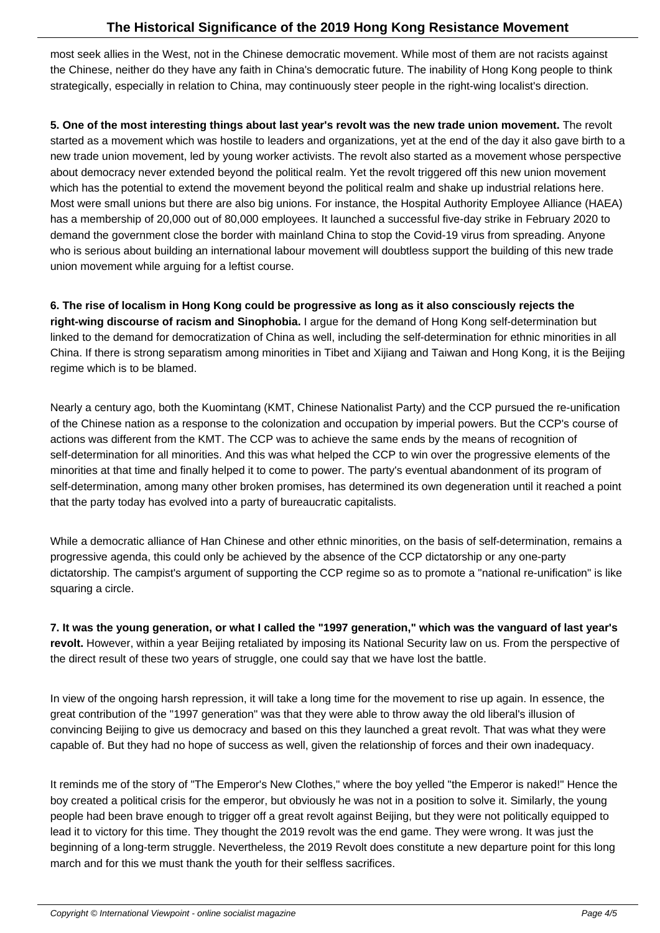most seek allies in the West, not in the Chinese democratic movement. While most of them are not racists against the Chinese, neither do they have any faith in China's democratic future. The inability of Hong Kong people to think strategically, especially in relation to China, may continuously steer people in the right-wing localist's direction.

**5. One of the most interesting things about last year's revolt was the new trade union movement.** The revolt started as a movement which was hostile to leaders and organizations, yet at the end of the day it also gave birth to a new trade union movement, led by young worker activists. The revolt also started as a movement whose perspective about democracy never extended beyond the political realm. Yet the revolt triggered off this new union movement which has the potential to extend the movement beyond the political realm and shake up industrial relations here. Most were small unions but there are also big unions. For instance, the Hospital Authority Employee Alliance (HAEA) has a membership of 20,000 out of 80,000 employees. It launched a successful five-day strike in February 2020 to demand the government close the border with mainland China to stop the Covid-19 virus from spreading. Anyone who is serious about building an international labour movement will doubtless support the building of this new trade union movement while arguing for a leftist course.

**6. The rise of localism in Hong Kong could be progressive as long as it also consciously rejects the right-wing discourse of racism and Sinophobia.** I argue for the demand of Hong Kong self-determination but linked to the demand for democratization of China as well, including the self-determination for ethnic minorities in all China. If there is strong separatism among minorities in Tibet and Xijiang and Taiwan and Hong Kong, it is the Beijing regime which is to be blamed.

Nearly a century ago, both the Kuomintang (KMT, Chinese Nationalist Party) and the CCP pursued the re-unification of the Chinese nation as a response to the colonization and occupation by imperial powers. But the CCP's course of actions was different from the KMT. The CCP was to achieve the same ends by the means of recognition of self-determination for all minorities. And this was what helped the CCP to win over the progressive elements of the minorities at that time and finally helped it to come to power. The party's eventual abandonment of its program of self-determination, among many other broken promises, has determined its own degeneration until it reached a point that the party today has evolved into a party of bureaucratic capitalists.

While a democratic alliance of Han Chinese and other ethnic minorities, on the basis of self-determination, remains a progressive agenda, this could only be achieved by the absence of the CCP dictatorship or any one-party dictatorship. The campist's argument of supporting the CCP regime so as to promote a "national re-unification" is like squaring a circle.

**7. It was the young generation, or what I called the "1997 generation," which was the vanguard of last year's revolt.** However, within a year Beijing retaliated by imposing its National Security law on us. From the perspective of the direct result of these two years of struggle, one could say that we have lost the battle.

In view of the ongoing harsh repression, it will take a long time for the movement to rise up again. In essence, the great contribution of the "1997 generation" was that they were able to throw away the old liberal's illusion of convincing Beijing to give us democracy and based on this they launched a great revolt. That was what they were capable of. But they had no hope of success as well, given the relationship of forces and their own inadequacy.

It reminds me of the story of "The Emperor's New Clothes," where the boy yelled "the Emperor is naked!" Hence the boy created a political crisis for the emperor, but obviously he was not in a position to solve it. Similarly, the young people had been brave enough to trigger off a great revolt against Beijing, but they were not politically equipped to lead it to victory for this time. They thought the 2019 revolt was the end game. They were wrong. It was just the beginning of a long-term struggle. Nevertheless, the 2019 Revolt does constitute a new departure point for this long march and for this we must thank the youth for their selfless sacrifices.